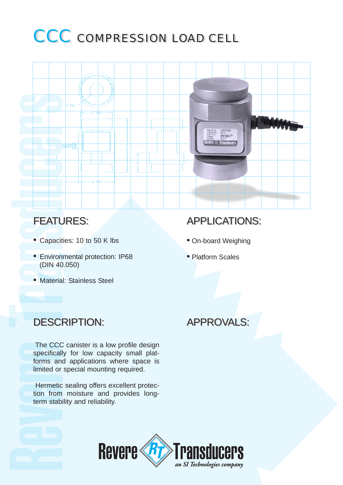# CCC COMPRESSION LOAD CELL



#### FEATURES:

- Capacities: 10 to 50 K lbs
- Environmental protection: IP68 (DIN 40.050)
- Material: Stainless Steel

## APPLICATIONS:

- On-board Weighing
- Platform Scales

#### DESCRIPTION: DESCRIPTION: APPROVALS: APPROVALS:

The CCC canister is a low profile design specifically for low capacity small platforms and applications where space is limited or special mounting required.

Hermetic sealing offers excellent protection from moisture and provides longterm stability and reliability.